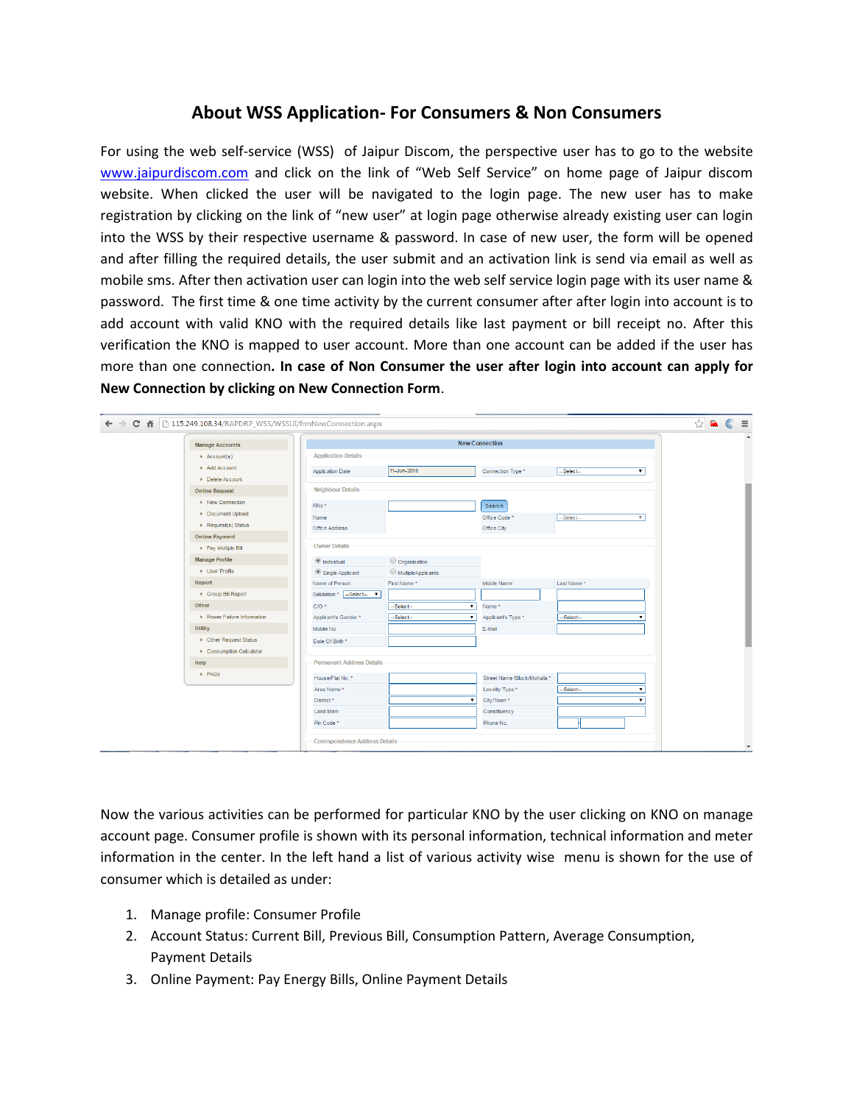## **About WSS Application- For Consumers & Non Consumers**

For using the web self-service (WSS) of Jaipur Discom, the perspective user has to go to the website [www.jaipurdiscom.com](http://www.jaipurdiscom.com/) and click on the link of "Web Self Service" on home page of Jaipur discom website. When clicked the user will be navigated to the login page. The new user has to make registration by clicking on the link of "new user" at login page otherwise already existing user can login into the WSS by their respective username & password. In case of new user, the form will be opened and after filling the required details, the user submit and an activation link is send via email as well as mobile sms. After then activation user can login into the web self service login page with its user name & password. The first time & one time activity by the current consumer after after login into account is to add account with valid KNO with the required details like last payment or bill receipt no. After this verification the KNO is mapped to user account. More than one account can be added if the user has more than one connection**. In case of Non Consumer the user after login into account can apply for New Connection by clicking on New Connection Form**.

| ← → C A D 115.249.108.34/RAPDRP_WSS/WSSUI/frmNewConnection.aspx |                                       |                                       |                              |                                        | <b>☆ 鼠 ©</b><br>$\equiv$ |
|-----------------------------------------------------------------|---------------------------------------|---------------------------------------|------------------------------|----------------------------------------|--------------------------|
| <b>Manage Accounts</b>                                          | <b>New Connection</b>                 |                                       |                              |                                        |                          |
| $\rightarrow$ Account(s)                                        | <b>Application Details</b>            |                                       |                              |                                        |                          |
| Add Account                                                     | Application Date                      | 11-Jun-2016                           | Connection Type *            | --Select--<br>$\mathbf{v}$             |                          |
| Delete Account                                                  |                                       |                                       |                              |                                        |                          |
| <b>Online Request</b>                                           | Neighbour Details                     |                                       |                              |                                        |                          |
| ▶ New Connection                                                | KNo*                                  |                                       | Search                       |                                        |                          |
| Document Upload                                                 | Name                                  |                                       | Office Code <sup>*</sup>     | --Select--<br>$\mathbf{v}$             |                          |
| Request(s) Status                                               | Office Address                        |                                       | Office City                  |                                        |                          |
| <b>Online Payment</b>                                           |                                       |                                       |                              |                                        |                          |
| > Pay Multiple Bill                                             | Owner Details                         |                                       |                              |                                        |                          |
| <b>Manage Profile</b>                                           | <sup>1</sup> Individual               | O Organisation                        |                              |                                        |                          |
| Diser Profile                                                   | Single Applicant                      | MultipleApplicants                    |                              |                                        |                          |
| Report                                                          | Name of Person                        | First Name*                           | Middle Name                  | Last Name*                             |                          |
| ▶ Group Bill Report                                             | Salutation * -Select- ▼               |                                       |                              |                                        |                          |
| Other                                                           | $C/O$ *                               | --Select--<br>$\mathbf{v}$            | Name*                        |                                        |                          |
| ▶ Power Failure Information                                     | Applicant's Gender *                  | --Select--<br>$\overline{\mathbf{v}}$ | Applicant's Type *           | --Select--<br>$\overline{\phantom{a}}$ |                          |
| Utility                                                         | Mobile No                             |                                       | E-Mail                       |                                        |                          |
| ▶ Other Request Status                                          | Date Of Birth *                       |                                       |                              |                                        |                          |
| Consumption Calculator                                          |                                       |                                       |                              |                                        |                          |
| Help                                                            | <b>Permanent Address Details</b>      |                                       |                              |                                        |                          |
| $\triangleright$ FAQs                                           | House/Flat No. *                      |                                       | Street Name /Block/Mohalla * |                                        |                          |
|                                                                 |                                       |                                       |                              |                                        |                          |
|                                                                 | Area Name*                            | $\pmb{\mathrm{v}}$                    | Locality Type *              | --Select--<br>$\mathbf{v}$             |                          |
|                                                                 | District*                             |                                       | City/Town <sup>*</sup>       | $\mathbf{v}$                           |                          |
|                                                                 | <b>Land Mark</b>                      |                                       | Constituency                 |                                        |                          |
|                                                                 | Pin Code <sup>*</sup>                 |                                       | Phone No.                    |                                        |                          |
|                                                                 | <b>Correspondence Address Details</b> |                                       |                              |                                        |                          |
|                                                                 |                                       |                                       |                              |                                        |                          |

Now the various activities can be performed for particular KNO by the user clicking on KNO on manage account page. Consumer profile is shown with its personal information, technical information and meter information in the center. In the left hand a list of various activity wise menu is shown for the use of consumer which is detailed as under:

- 1. Manage profile: Consumer Profile
- 2. Account Status: Current Bill, Previous Bill, Consumption Pattern, Average Consumption, Payment Details
- 3. Online Payment: Pay Energy Bills, Online Payment Details